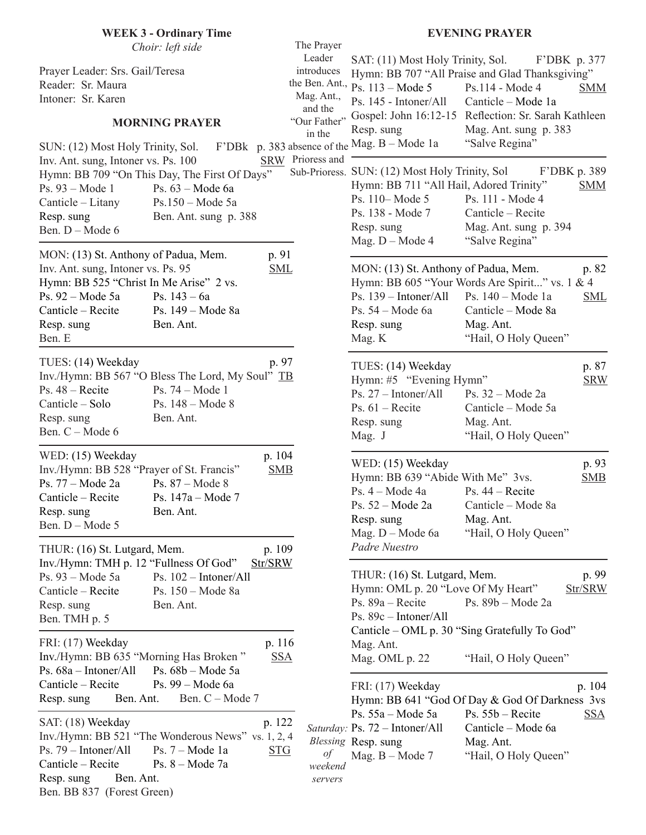| <b>WEEK 3 - Ordinary Time</b>                                                                                                                                                                                                                                     |                                                                                                           |                                                                                                                                                                                 | <b>EVENING PRAYER</b>                                                                                                                                                                                                     |
|-------------------------------------------------------------------------------------------------------------------------------------------------------------------------------------------------------------------------------------------------------------------|-----------------------------------------------------------------------------------------------------------|---------------------------------------------------------------------------------------------------------------------------------------------------------------------------------|---------------------------------------------------------------------------------------------------------------------------------------------------------------------------------------------------------------------------|
| Choir: left side<br>Prayer Leader: Srs. Gail/Teresa<br>Reader: Sr. Maura<br>Intoner: Sr. Karen<br><b>MORNING PRAYER</b><br>SUN: (12) Most Holy Trinity, Sol.                                                                                                      | The Prayer<br>Leader<br>introduces<br>Mag. Ant.,<br>and the<br>"Our Father"<br>in the<br>SRW Prioress and | SAT: (11) Most Holy Trinity, Sol.<br>the Ben. Ant., $\overrightarrow{Ps}$ . 113 – Mode 5<br>Ps. 145 - Intoner/All<br>Resp. sung<br>F'DBk p. 383 absence of the Mag. B - Mode 1a | F'DBK p. 377<br>Hymn: BB 707 "All Praise and Glad Thanksgiving"<br>Ps.114 - Mode 4<br><b>SMM</b><br>Canticle - Mode 1a<br>Gospel: John 16:12-15 Reflection: Sr. Sarah Kathleen<br>Mag. Ant. sung p. 383<br>"Salve Regina" |
| Inv. Ant. sung, Intoner vs. Ps. 100<br>Hymn: BB 709 "On This Day, The First Of Days"<br>Ps. 93 – Mode 1<br>Ps. $63 - Mode 6a$<br>Canticle – Litany<br>$Ps.150 - Mode 5a$<br>Resp. sung<br>Ben. Ant. sung p. 388<br>Ben. D - Mode 6                                |                                                                                                           | Sub-Prioress. SUN: (12) Most Holy Trinity, Sol<br>Hymn: BB 711 "All Hail, Adored Trinity"<br>Ps. 110 – Mode 5<br>Ps. 138 - Mode 7<br>Resp. sung<br>Mag. $D - Mode 4$            | F'DBK p. 389<br><b>SMM</b><br>Ps. 111 - Mode 4<br>Canticle - Recite<br>Mag. Ant. sung p. 394<br>"Salve Regina"                                                                                                            |
| MON: (13) St. Anthony of Padua, Mem.<br>p. 91<br>Inv. Ant. sung, Intoner vs. Ps. 95<br><b>SML</b><br>Hymn: BB 525 "Christ In Me Arise" 2 vs.<br>Ps. 92 - Mode 5a<br>Ps. $143 - 6a$<br>Canticle - Recite<br>Ps. 149 – Mode 8a<br>Ben. Ant.<br>Resp. sung<br>Ben. E |                                                                                                           | MON: (13) St. Anthony of Padua, Mem.<br>Ps. $139 - Intoner/All$<br>Ps. 54 – Mode 6a<br>Resp. sung<br>Mag. K                                                                     | p. 82<br>Hymn: BB 605 "Your Words Are Spirit" vs. 1 & 4<br>Ps. 140 - Mode 1a<br><b>SML</b><br>Canticle – Mode 8a<br>Mag. Ant.<br>"Hail, O Holy Queen"                                                                     |
| p. 97<br>TUES: (14) Weekday<br>Inv./Hymn: BB 567 "O Bless The Lord, My Soul" TB<br>$Ps. 48 - Recite$<br>Ps. 74 – Mode 1<br>Canticle – Solo<br>Ps. 148 - Mode 8<br>Resp. sung<br>Ben. Ant.<br>Ben. C - Mode 6                                                      |                                                                                                           | TUES: (14) Weekday<br>Hymn: #5 "Evening Hymn"<br>Ps. $27 - Intoner/All$<br>Ps. $61 -$ Recite<br>Resp. sung<br>Mag. J                                                            | p. 87<br><b>SRW</b><br>Ps. $32 - Mode$ $2a$<br>Canticle – Mode 5a<br>Mag. Ant.<br>"Hail, O Holy Queen"                                                                                                                    |
| p. 104<br>WED: (15) Weekday<br>Inv./Hymn: BB 528 "Prayer of St. Francis"<br><b>SMB</b><br>Ps. 77 - Mode 2a<br>Ps. 87 – Mode 8<br>Canticle - Recite<br>Ps. $147a - Mode 7$<br>Ben. Ant.<br>Resp. sung<br>Ben. D - Mode 5                                           |                                                                                                           | WED: (15) Weekday<br>Hymn: BB 639 "Abide With Me" 3vs.<br>Ps. 4 - Mode 4a<br>Ps. 52 - Mode 2a<br>Resp. sung<br>Mag. D - Mode 6a                                                 | p. 93<br>SMB<br>Ps. $44 -$ Recite<br>Canticle - Mode 8a<br>Mag. Ant.<br>"Hail, O Holy Queen"                                                                                                                              |
| p. 109<br>THUR: (16) St. Lutgard, Mem.<br>Inv./Hymn: TMH p. 12 "Fullness Of God"<br>Str/SRW<br>Ps. 93 - Mode 5a<br>Ps. $102 - Intoner/All$<br>Canticle - Recite<br>Ps. 150 - Mode 8a<br>Resp. sung<br>Ben. Ant.<br>Ben. TMH p. 5                                  |                                                                                                           | Padre Nuestro<br>THUR: (16) St. Lutgard, Mem.<br>Hymn: OML p. 20 "Love Of My Heart"<br>Ps. $89a - Recite$<br>Ps. 89c - Intoner/All                                              | p. 99<br>Str/SRW<br>Ps. $89b - Mode$ 2a<br>Canticle – OML p. 30 "Sing Gratefully To God"                                                                                                                                  |
| FRI: (17) Weekday<br>p. 116<br>Inv./Hymn: BB 635 "Morning Has Broken"<br><u>SSA</u><br>Ps. 68a - Intoner/All<br>Ps. $68b - Mode$ 5a<br>Canticle - Recite<br>Ps. 99 – Mode 6a<br>Ben. C - Mode 7<br>Resp. sung<br>Ben. Ant.                                        |                                                                                                           | Mag. Ant.<br>Mag. OML p. 22<br>FRI: (17) Weekday                                                                                                                                | "Hail, O Holy Queen"<br>p. 104<br>Hymn: BB 641 "God Of Day & God Of Darkness 3vs                                                                                                                                          |
| SAT: (18) Weekday<br>p. 122<br>Inv./Hymn: BB 521 "The Wonderous News" vs. 1, 2, 4<br>Ps. 79 - Intoner/All<br>Ps. $7 - Mode 1a$<br><b>STG</b><br>Canticle - Recite<br>Ps. $8 - Mode$ 7a<br>Ben. Ant.<br>Resp. sung<br>Ben. BB 837 (Forest Green)                   | οf<br>weekend<br>servers                                                                                  | Ps. $55a - Mode 5a$<br>Saturday: Ps. 72 - Intoner/All<br>Blessing Resp. sung<br>Mag. B - Mode 7                                                                                 | $Ps. 55b - Recite$<br><u>SSA</u><br>Canticle – Mode 6a<br>Mag. Ant.<br>"Hail, O Holy Queen"                                                                                                                               |